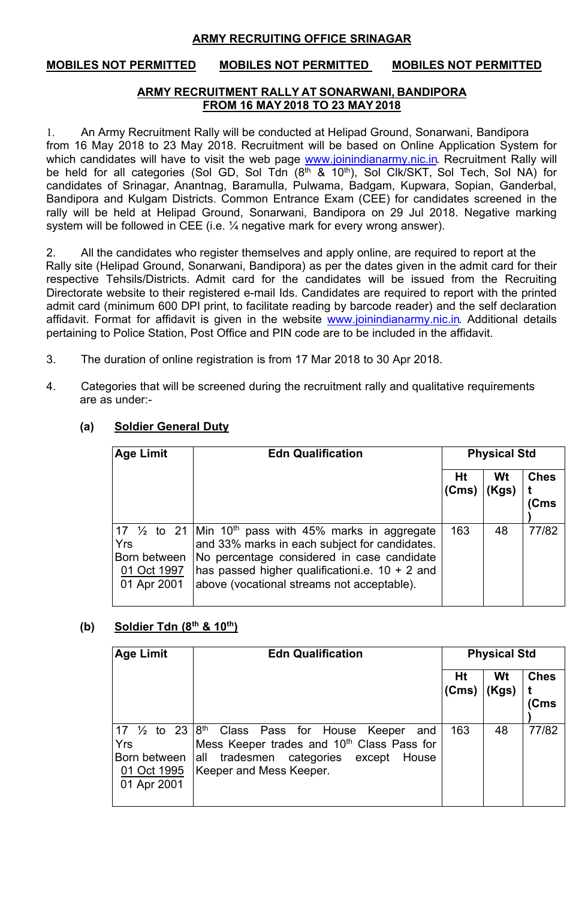## **ARMY RECRUITING OFFICE SRINAGAR**

# **MOBILES NOT PERMITTED MOBILES NOT PERMITTED MOBILES NOT PERMITTED**

### **ARMY RECRUITMENT RALLY AT SONARWANI, BANDIPORA FROM 16 MAY2018 TO 23 MAY2018**

1. An Army Recruitment Rally will be conducted at Helipad Ground, Sonarwani, Bandipora from 16 May 2018 to 23 May 2018. Recruitment will be based on Online Application System for which candidates will have to visit the web page www.joinindianarmy.nic.in. Recruitment Rally will be held for all categories (Sol GD, Sol Tdn  $(8<sup>th</sup>$  &  $10<sup>th</sup>$ ), Sol Clk/SKT, Sol Tech, Sol NA) for candidates of Srinagar, Anantnag, Baramulla, Pulwama, Badgam, Kupwara, Sopian, Ganderbal, Bandipora and Kulgam Districts. Common Entrance Exam (CEE) for candidates screened in the rally will be held at Helipad Ground, Sonarwani, Bandipora on 29 Jul 2018. Negative marking system will be followed in CEE (i.e. ¼ negative mark for every wrong answer).

2. All the candidates who register themselves and apply online, are required to report at the Rally site (Helipad Ground, Sonarwani, Bandipora) as per the dates given in the admit card for their respective Tehsils/Districts. Admit card for the candidates will be issued from the Recruiting Directorate website to their registered e-mail Ids. Candidates are required to report with the printed admit card (minimum 600 DPI print, to facilitate reading by barcode reader) and the self declaration affidavit. Format for affidavit is given in the website www.joinindianarmy.nic.in. Additional details pertaining to Police Station, Post Office and PIN code are to be included in the affidavit.

- 3. The duration of online registration is from 17 Mar 2018 to 30 Apr 2018.
- 4. Categories that will be screened during the recruitment rally and qualitative requirements are as under:-

| <b>Age Limit</b>                                  | <b>Edn Qualification</b>                                                                                                                                                                                                                                                        |             | <b>Physical Std</b> |                           |  |
|---------------------------------------------------|---------------------------------------------------------------------------------------------------------------------------------------------------------------------------------------------------------------------------------------------------------------------------------|-------------|---------------------|---------------------------|--|
|                                                   |                                                                                                                                                                                                                                                                                 | Ht<br>(Cms) | Wt<br>(Kgs)         | <b>Ches</b><br><b>Cms</b> |  |
| Yrs<br>Born between<br>01 Oct 1997<br>01 Apr 2001 | 17 $\frac{1}{2}$ to 21   Min 10 <sup>th</sup> pass with 45% marks in aggregate<br>and 33% marks in each subject for candidates.<br>No percentage considered in case candidate<br>has passed higher qualificationi.e. $10 + 2$ and<br>above (vocational streams not acceptable). | 163         | 48                  | 77/82                     |  |

# **(a) Soldier General Duty**

### **(b) Soldier Tdn (8th & 10th)**

| <b>Age Limit</b>                                                            | <b>Edn Qualification</b>                                                                                                                                                      |             | <b>Physical Std</b> |                     |  |
|-----------------------------------------------------------------------------|-------------------------------------------------------------------------------------------------------------------------------------------------------------------------------|-------------|---------------------|---------------------|--|
|                                                                             |                                                                                                                                                                               | Ht<br>(Cms) | Wt<br>(Kgs)         | <b>Ches</b><br>(Cms |  |
| 17 $\frac{1}{2}$ to 23<br>Yrs<br>Born between<br>01 Oct 1995<br>01 Apr 2001 | $ 8th$ Class Pass for House<br>Keeper<br>and<br>Mess Keeper trades and 10 <sup>th</sup> Class Pass for<br>all tradesmen categories except<br>House<br>Keeper and Mess Keeper. | 163         | 48                  | 77/82               |  |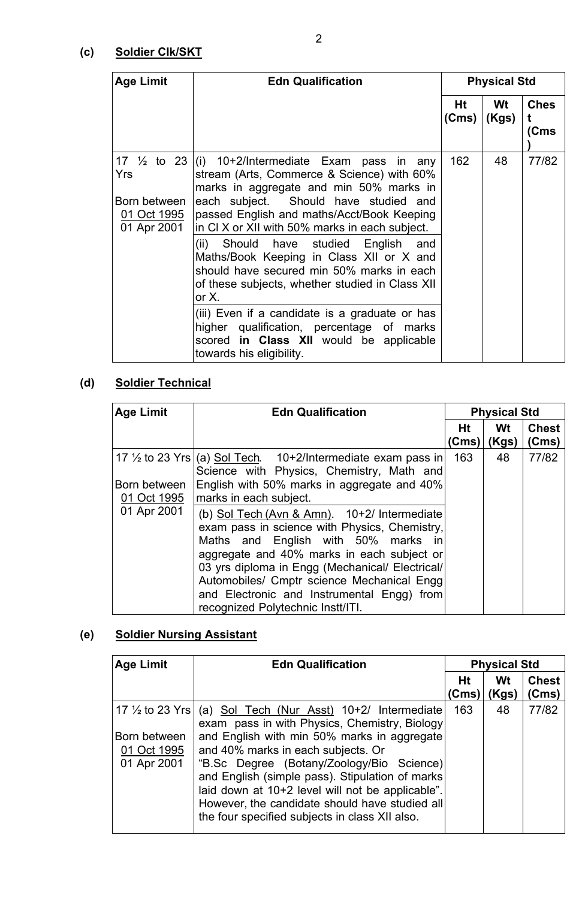# **(c) Soldier Clk/SKT**

| <b>Age Limit</b>                                  | <b>Edn Qualification</b>                                                                                                                                                                                                                                                                        |             | <b>Physical Std</b> |                     |  |
|---------------------------------------------------|-------------------------------------------------------------------------------------------------------------------------------------------------------------------------------------------------------------------------------------------------------------------------------------------------|-------------|---------------------|---------------------|--|
|                                                   |                                                                                                                                                                                                                                                                                                 | Ht<br>(Cms) | Wt<br>(Kgs)         | <b>Ches</b><br>(Cms |  |
| Yrs<br>Born between<br>01 Oct 1995<br>01 Apr 2001 | 17 $\frac{1}{2}$ to 23 (i) 10+2/Intermediate Exam pass in any<br>stream (Arts, Commerce & Science) with 60%<br>marks in aggregate and min 50% marks in<br>each subject. Should have studied and<br>passed English and maths/Acct/Book Keeping<br>in CI X or XII with 50% marks in each subject. | 162<br>48   |                     | 77/82               |  |
|                                                   | (ii) Should have studied English and<br>Maths/Book Keeping in Class XII or X and<br>should have secured min 50% marks in each<br>of these subjects, whether studied in Class XII<br>or $X$ .                                                                                                    |             |                     |                     |  |
|                                                   | (iii) Even if a candidate is a graduate or has<br>higher qualification, percentage of marks<br>scored in Class XII would be applicable<br>towards his eligibility.                                                                                                                              |             |                     |                     |  |

# **(d) Soldier Technical**

| <b>Age Limit</b>                           | <b>Edn Qualification</b>                                                                                                                                                                                                                                                                                                                                                                                                                                                                                                                                                |             | <b>Physical Std</b> |                       |
|--------------------------------------------|-------------------------------------------------------------------------------------------------------------------------------------------------------------------------------------------------------------------------------------------------------------------------------------------------------------------------------------------------------------------------------------------------------------------------------------------------------------------------------------------------------------------------------------------------------------------------|-------------|---------------------|-----------------------|
|                                            |                                                                                                                                                                                                                                                                                                                                                                                                                                                                                                                                                                         | Ht<br>(Cms) | Wt<br>(Kgs)         | <b>Chest</b><br>(Cms) |
| Born between<br>01 Oct 1995<br>01 Apr 2001 | 17 $\frac{1}{2}$ to 23 Yrs (a) Sol Tech. 10+2/Intermediate exam pass in<br>Science with Physics, Chemistry, Math and<br>English with 50% marks in aggregate and 40%<br>marks in each subject.<br>(b) Sol Tech (Avn & Amn). 10+2/ Intermediate<br>exam pass in science with Physics, Chemistry,<br>Maths and English with 50% marks in<br>aggregate and 40% marks in each subject or<br>03 yrs diploma in Engg (Mechanical/ Electrical/<br>Automobiles/ Cmptr science Mechanical Engg<br>and Electronic and Instrumental Engg) from<br>recognized Polytechnic Instt/ITI. | 163         | 48                  | 77/82                 |

# **(e) Soldier Nursing Assistant**

| <b>Age Limit</b>                                                         | <b>Edn Qualification</b>                                                                                                                                                                                                                                                                                                                                                                                                                 |             | <b>Physical Std</b> |                       |
|--------------------------------------------------------------------------|------------------------------------------------------------------------------------------------------------------------------------------------------------------------------------------------------------------------------------------------------------------------------------------------------------------------------------------------------------------------------------------------------------------------------------------|-------------|---------------------|-----------------------|
|                                                                          |                                                                                                                                                                                                                                                                                                                                                                                                                                          | Ht<br>(Cms) | Wt<br>(Kgs)         | <b>Chest</b><br>(Cms) |
| 17 $\frac{1}{2}$ to 23 Yrs<br>Born between<br>01 Oct 1995<br>01 Apr 2001 | (a) Sol Tech (Nur Asst) 10+2/ Intermediate<br>exam pass in with Physics, Chemistry, Biology<br>and English with min 50% marks in aggregate<br>and 40% marks in each subjects. Or<br>"B.Sc Degree (Botany/Zoology/Bio Science)<br>and English (simple pass). Stipulation of marks<br>laid down at 10+2 level will not be applicable".<br>However, the candidate should have studied all<br>the four specified subjects in class XII also. | 163         | 48                  | 77/82                 |

2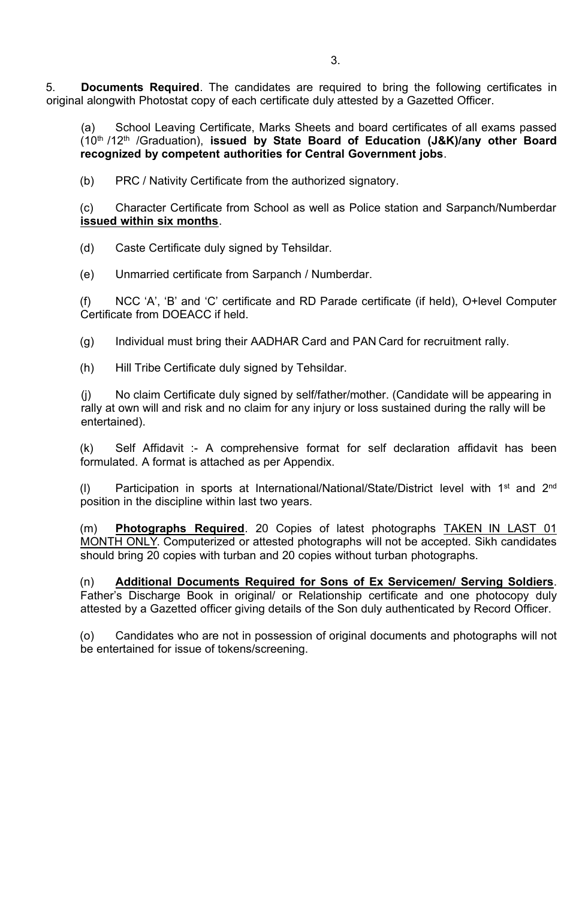5. **Documents Required**. The candidates are required to bring the following certificates in original alongwith Photostat copy of each certificate duly attested by a Gazetted Officer.

(a) School Leaving Certificate, Marks Sheets and board certificates of all exams passed (10th /12th /Graduation), **issued by State Board of Education (J&K)/any other Board recognized by competent authorities for Central Government jobs**.

(b) PRC / Nativity Certificate from the authorized signatory.

(c) Character Certificate from School as well as Police station and Sarpanch/Numberdar **issued within six months**.

(d) Caste Certificate duly signed by Tehsildar.

(e) Unmarried certificate from Sarpanch / Numberdar.

(f) NCC 'A', 'B' and 'C' certificate and RD Parade certificate (if held), O+level Computer Certificate from DOEACC if held.

(g) Individual must bring their AADHAR Card and PAN Card for recruitment rally.

(h) Hill Tribe Certificate duly signed by Tehsildar.

(j) No claim Certificate duly signed by self/father/mother. (Candidate will be appearing in rally at own will and risk and no claim for any injury or loss sustained during the rally will be entertained).

(k) Self Affidavit :- A comprehensive format for self declaration affidavit has been formulated. A format is attached as per Appendix.

(I) Participation in sports at International/National/State/District level with 1<sup>st</sup> and 2<sup>nd</sup> position in the discipline within last two years.

(m) **Photographs Required**. 20 Copies of latest photographs TAKEN IN LAST 01 MONTH ONLY. Computerized or attested photographs will not be accepted. Sikh candidates should bring 20 copies with turban and 20 copies without turban photographs.

(n) **Additional Documents Required for Sons of Ex Servicemen/ Serving Soldiers**. Father's Discharge Book in original/ or Relationship certificate and one photocopy duly attested by a Gazetted officer giving details of the Son duly authenticated by Record Officer.

(o) Candidates who are not in possession of original documents and photographs will not be entertained for issue of tokens/screening.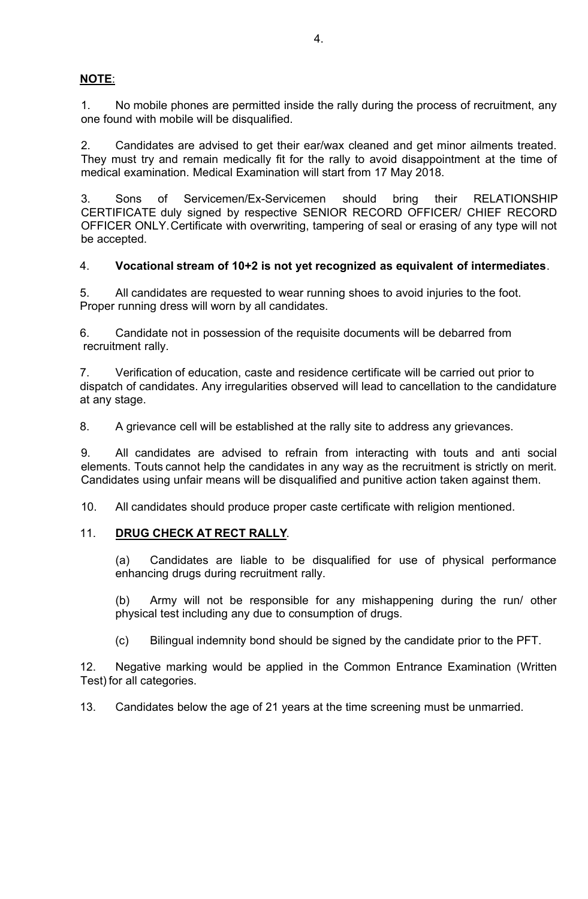# **NOTE**:

1. No mobile phones are permitted inside the rally during the process of recruitment, any one found with mobile will be disqualified.

2. Candidates are advised to get their ear/wax cleaned and get minor ailments treated. They must try and remain medically fit for the rally to avoid disappointment at the time of medical examination. Medical Examination will start from 17 May 2018.

3. Sons of Servicemen/Ex-Servicemen should bring their RELATIONSHIP CERTIFICATE duly signed by respective SENIOR RECORD OFFICER/ CHIEF RECORD OFFICER ONLY.Certificate with overwriting, tampering of seal or erasing of any type will not be accepted.

### 4. **Vocational stream of 10+2 is not yet recognized as equivalent of intermediates**.

5. All candidates are requested to wear running shoes to avoid injuries to the foot. Proper running dress will worn by all candidates.

6. Candidate not in possession of the requisite documents will be debarred from recruitment rally.

7. Verification of education, caste and residence certificate will be carried out prior to dispatch of candidates. Any irregularities observed will lead to cancellation to the candidature at any stage.

8. A grievance cell will be established at the rally site to address any grievances.

9. All candidates are advised to refrain from interacting with touts and anti social elements. Touts cannot help the candidates in any way as the recruitment is strictly on merit. Candidates using unfair means will be disqualified and punitive action taken against them.

10. All candidates should produce proper caste certificate with religion mentioned.

#### 11. **DRUG CHECK AT RECT RALLY**.

(a) Candidates are liable to be disqualified for use of physical performance enhancing drugs during recruitment rally.

(b) Army will not be responsible for any mishappening during the run/ other physical test including any due to consumption of drugs.

(c) Bilingual indemnity bond should be signed by the candidate prior to the PFT.

12. Negative marking would be applied in the Common Entrance Examination (Written Test) for all categories.

13. Candidates below the age of 21 years at the time screening must be unmarried.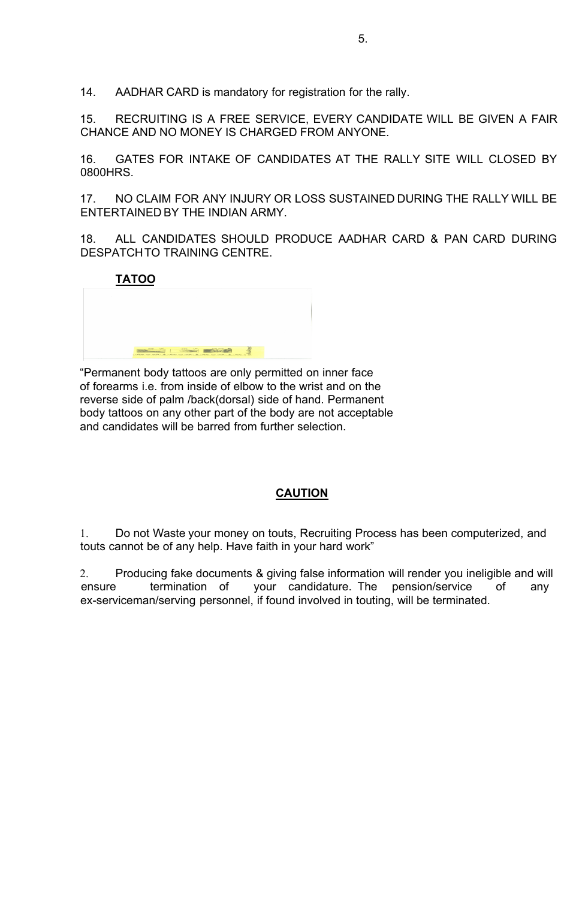14. AADHAR CARD is mandatory for registration for the rally.

15. RECRUITING IS A FREE SERVICE, EVERY CANDIDATE WILL BE GIVEN A FAIR CHANCE AND NO MONEY IS CHARGED FROM ANYONE.

16. GATES FOR INTAKE OF CANDIDATES AT THE RALLY SITE WILL CLOSED BY 0800HRS.

17. NO CLAIM FOR ANY INJURY OR LOSS SUSTAINED DURING THE RALLY WILL BE ENTERTAINED BY THE INDIAN ARMY.

18. ALL CANDIDATES SHOULD PRODUCE AADHAR CARD & PAN CARD DURING DESPATCHTO TRAINING CENTRE.

**TATOO**

|                                                                                 |                                                                                                                                                                                                                                                                                                                                                                                      | <b>Contractor</b> |  |                   |  |
|---------------------------------------------------------------------------------|--------------------------------------------------------------------------------------------------------------------------------------------------------------------------------------------------------------------------------------------------------------------------------------------------------------------------------------------------------------------------------------|-------------------|--|-------------------|--|
|                                                                                 |                                                                                                                                                                                                                                                                                                                                                                                      |                   |  |                   |  |
|                                                                                 |                                                                                                                                                                                                                                                                                                                                                                                      |                   |  | <b>Contractor</b> |  |
|                                                                                 |                                                                                                                                                                                                                                                                                                                                                                                      |                   |  |                   |  |
| <b>CONTRACTOR</b>                                                               | $\overline{1}$ $\overline{1}$ $\overline{1}$ $\overline{1}$ $\overline{1}$ $\overline{1}$ $\overline{1}$ $\overline{1}$ $\overline{1}$ $\overline{1}$ $\overline{1}$ $\overline{1}$ $\overline{1}$ $\overline{1}$ $\overline{1}$ $\overline{1}$ $\overline{1}$ $\overline{1}$ $\overline{1}$ $\overline{1}$ $\overline{1}$ $\overline{1}$ $\overline{1}$ $\overline{1}$ $\overline{$ |                   |  |                   |  |
| and there was notably and another was not the adjacent to a construction of the |                                                                                                                                                                                                                                                                                                                                                                                      |                   |  |                   |  |

"Permanent body tattoos are only permitted on inner face of forearms i.e. from inside of elbow to the wrist and on the reverse side of palm /back(dorsal) side of hand. Permanent body tattoos on any other part of the body are not acceptable and candidates will be barred from further selection.

# **CAUTION**

1. Do not Waste your money on touts, Recruiting Process has been computerized, and touts cannot be of any help. Have faith in your hard work"

2. Producing fake documents & giving false information will render you ineligible and will ensure termination of your candidature. The pension/service of any ex-serviceman/serving personnel, if found involved in touting, will be terminated.